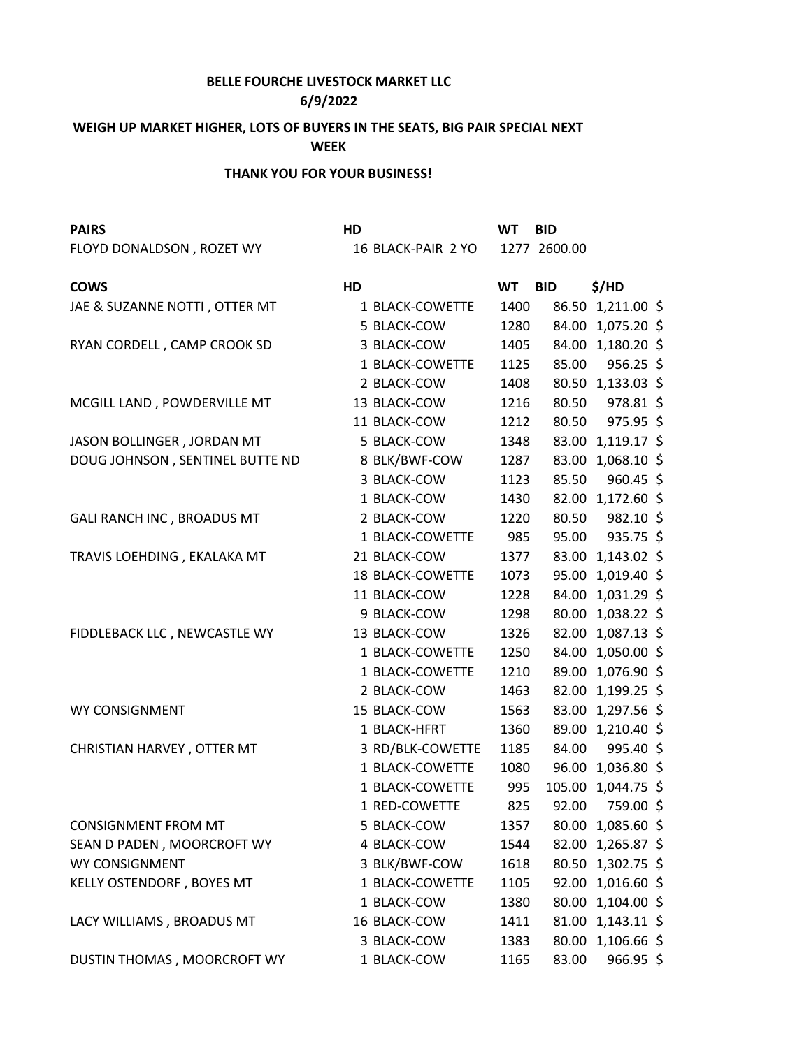## **BELLE FOURCHE LIVESTOCK MARKET LLC**

## **6/9/2022**

## **WEIGH UP MARKET HIGHER, LOTS OF BUYERS IN THE SEATS, BIG PAIR SPECIAL NEXT WEEK**

## **THANK YOU FOR YOUR BUSINESS!**

| <b>PAIRS</b>                    | HD |                    | <b>WT</b> | <b>BID</b>   |                    |  |
|---------------------------------|----|--------------------|-----------|--------------|--------------------|--|
| FLOYD DONALDSON, ROZET WY       |    | 16 BLACK-PAIR 2 YO |           | 1277 2600.00 |                    |  |
| <b>COWS</b>                     | HD |                    | <b>WT</b> | <b>BID</b>   | \$/HD              |  |
| JAE & SUZANNE NOTTI, OTTER MT   |    | 1 BLACK-COWETTE    | 1400      |              | 86.50 1,211.00 \$  |  |
|                                 |    | 5 BLACK-COW        | 1280      |              | 84.00 1,075.20 \$  |  |
| RYAN CORDELL, CAMP CROOK SD     |    | 3 BLACK-COW        | 1405      |              | 84.00 1,180.20 \$  |  |
|                                 |    | 1 BLACK-COWETTE    | 1125      | 85.00        | $956.25$ \$        |  |
|                                 |    | 2 BLACK-COW        | 1408      |              | 80.50 1,133.03 \$  |  |
| MCGILL LAND, POWDERVILLE MT     |    | 13 BLACK-COW       | 1216      | 80.50        | 978.81 \$          |  |
|                                 |    | 11 BLACK-COW       | 1212      |              | 80.50 975.95 \$    |  |
| JASON BOLLINGER, JORDAN MT      |    | 5 BLACK-COW        | 1348      |              | 83.00 1,119.17 \$  |  |
| DOUG JOHNSON, SENTINEL BUTTE ND |    | 8 BLK/BWF-COW      | 1287      |              | 83.00 1,068.10 \$  |  |
|                                 |    | 3 BLACK-COW        | 1123      | 85.50        | 960.45 \$          |  |
|                                 |    | 1 BLACK-COW        | 1430      |              | 82.00 1,172.60 \$  |  |
| GALI RANCH INC, BROADUS MT      |    | 2 BLACK-COW        | 1220      |              | 80.50 982.10 \$    |  |
|                                 |    | 1 BLACK-COWETTE    | 985       | 95.00        | 935.75 \$          |  |
| TRAVIS LOEHDING, EKALAKA MT     |    | 21 BLACK-COW       | 1377      |              | 83.00 1,143.02 \$  |  |
|                                 |    | 18 BLACK-COWETTE   | 1073      |              | 95.00 1,019.40 \$  |  |
|                                 |    | 11 BLACK-COW       | 1228      |              | 84.00 1,031.29 \$  |  |
|                                 |    | 9 BLACK-COW        | 1298      |              | 80.00 1,038.22 \$  |  |
| FIDDLEBACK LLC, NEWCASTLE WY    |    | 13 BLACK-COW       | 1326      |              | 82.00 1,087.13 \$  |  |
|                                 |    | 1 BLACK-COWETTE    | 1250      |              | 84.00 1,050.00 \$  |  |
|                                 |    | 1 BLACK-COWETTE    | 1210      |              | 89.00 1,076.90 \$  |  |
|                                 |    | 2 BLACK-COW        | 1463      |              | 82.00 1,199.25 \$  |  |
| WY CONSIGNMENT                  |    | 15 BLACK-COW       | 1563      |              | 83.00 1,297.56 \$  |  |
|                                 |    | 1 BLACK-HFRT       | 1360      |              | 89.00 1,210.40 \$  |  |
| CHRISTIAN HARVEY, OTTER MT      |    | 3 RD/BLK-COWETTE   | 1185      | 84.00        | 995.40 \$          |  |
|                                 |    | 1 BLACK-COWETTE    | 1080      |              | 96.00 1,036.80 \$  |  |
|                                 |    | 1 BLACK-COWETTE    | 995       |              | 105.00 1,044.75 \$ |  |
|                                 |    | 1 RED-COWETTE      | 825       | 92.00        | 759.00 \$          |  |
| <b>CONSIGNMENT FROM MT</b>      |    | 5 BLACK-COW        | 1357      |              | 80.00 1,085.60 \$  |  |
| SEAN D PADEN, MOORCROFT WY      |    | 4 BLACK-COW        | 1544      |              | 82.00 1,265.87 \$  |  |
| WY CONSIGNMENT                  |    | 3 BLK/BWF-COW      | 1618      |              | 80.50 1,302.75 \$  |  |
| KELLY OSTENDORF, BOYES MT       |    | 1 BLACK-COWETTE    | 1105      |              | 92.00 1,016.60 \$  |  |
|                                 |    | 1 BLACK-COW        | 1380      |              | 80.00 1,104.00 \$  |  |
| LACY WILLIAMS, BROADUS MT       |    | 16 BLACK-COW       | 1411      |              | 81.00 1,143.11 \$  |  |
|                                 |    | 3 BLACK-COW        | 1383      |              | 80.00 1,106.66 \$  |  |
| DUSTIN THOMAS, MOORCROFT WY     |    | 1 BLACK-COW        | 1165      | 83.00        | $966.95$ \$        |  |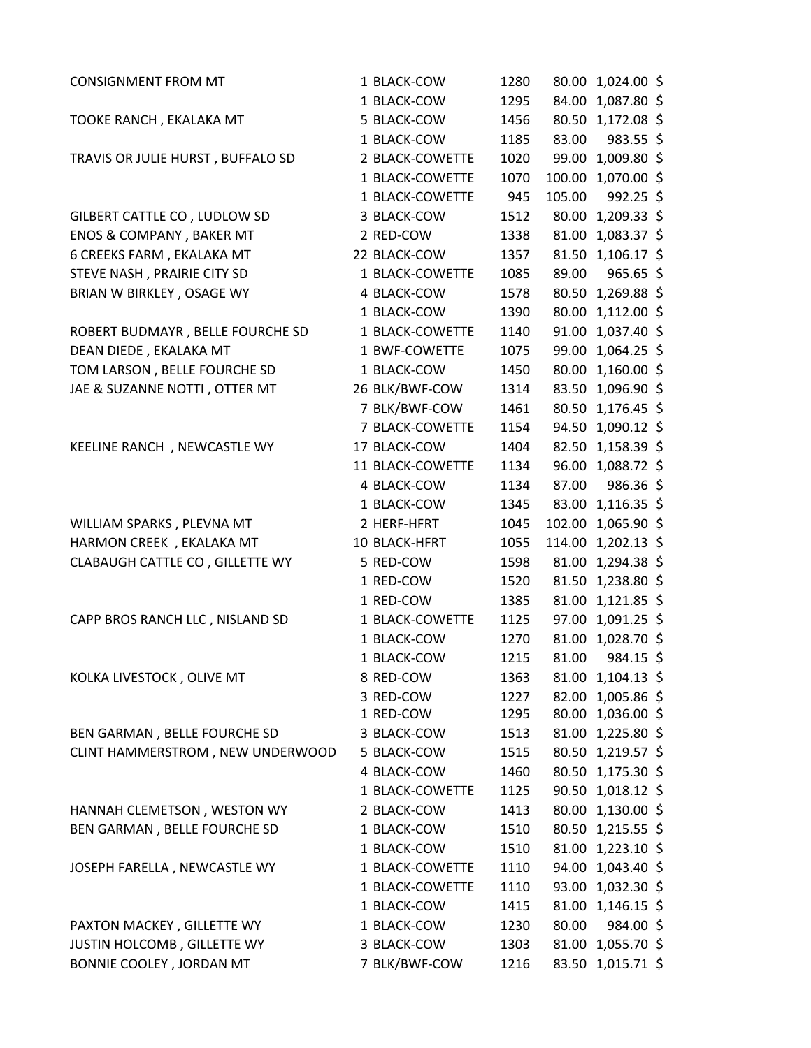| <b>CONSIGNMENT FROM MT</b>        | 1 BLACK-COW      | 1280 |        | 80.00 1,024.00 \$  |  |
|-----------------------------------|------------------|------|--------|--------------------|--|
|                                   | 1 BLACK-COW      | 1295 |        | 84.00 1,087.80 \$  |  |
| TOOKE RANCH, EKALAKA MT           | 5 BLACK-COW      | 1456 |        | 80.50 1,172.08 \$  |  |
|                                   | 1 BLACK-COW      | 1185 | 83.00  | 983.55 \$          |  |
| TRAVIS OR JULIE HURST, BUFFALO SD | 2 BLACK-COWETTE  | 1020 |        | 99.00 1,009.80 \$  |  |
|                                   | 1 BLACK-COWETTE  | 1070 |        | 100.00 1,070.00 \$ |  |
|                                   | 1 BLACK-COWETTE  | 945  | 105.00 | $992.25$ \$        |  |
| GILBERT CATTLE CO, LUDLOW SD      | 3 BLACK-COW      | 1512 |        | 80.00 1,209.33 \$  |  |
| ENOS & COMPANY, BAKER MT          | 2 RED-COW        | 1338 |        | 81.00 1,083.37 \$  |  |
| 6 CREEKS FARM, EKALAKA MT         | 22 BLACK-COW     | 1357 |        | 81.50 1,106.17 \$  |  |
| STEVE NASH, PRAIRIE CITY SD       | 1 BLACK-COWETTE  | 1085 | 89.00  | $965.65$ \$        |  |
| BRIAN W BIRKLEY, OSAGE WY         | 4 BLACK-COW      | 1578 |        | 80.50 1,269.88 \$  |  |
|                                   | 1 BLACK-COW      | 1390 |        | 80.00 1,112.00 \$  |  |
| ROBERT BUDMAYR, BELLE FOURCHE SD  | 1 BLACK-COWETTE  | 1140 |        | 91.00 1,037.40 \$  |  |
| DEAN DIEDE, EKALAKA MT            | 1 BWF-COWETTE    | 1075 |        | 99.00 1,064.25 \$  |  |
| TOM LARSON, BELLE FOURCHE SD      | 1 BLACK-COW      | 1450 |        | 80.00 1,160.00 \$  |  |
| JAE & SUZANNE NOTTI, OTTER MT     | 26 BLK/BWF-COW   | 1314 |        | 83.50 1,096.90 \$  |  |
|                                   | 7 BLK/BWF-COW    | 1461 |        | 80.50 1,176.45 \$  |  |
|                                   | 7 BLACK-COWETTE  | 1154 |        | 94.50 1,090.12 \$  |  |
| KEELINE RANCH, NEWCASTLE WY       | 17 BLACK-COW     | 1404 |        | 82.50 1,158.39 \$  |  |
|                                   | 11 BLACK-COWETTE | 1134 |        | 96.00 1,088.72 \$  |  |
|                                   | 4 BLACK-COW      | 1134 | 87.00  | 986.36 \$          |  |
|                                   | 1 BLACK-COW      | 1345 |        | 83.00 1,116.35 \$  |  |
| WILLIAM SPARKS, PLEVNA MT         | 2 HERF-HFRT      | 1045 |        | 102.00 1,065.90 \$ |  |
| HARMON CREEK, EKALAKA MT          | 10 BLACK-HFRT    | 1055 |        | 114.00 1,202.13 \$ |  |
| CLABAUGH CATTLE CO, GILLETTE WY   | 5 RED-COW        | 1598 |        | 81.00 1,294.38 \$  |  |
|                                   | 1 RED-COW        | 1520 |        | 81.50 1,238.80 \$  |  |
|                                   | 1 RED-COW        | 1385 |        | 81.00 1,121.85 \$  |  |
| CAPP BROS RANCH LLC, NISLAND SD   | 1 BLACK-COWETTE  | 1125 |        | 97.00 1,091.25 \$  |  |
|                                   | 1 BLACK-COW      | 1270 |        | 81.00 1,028.70 \$  |  |
|                                   | 1 BLACK-COW      | 1215 | 81.00  | 984.15 \$          |  |
| KOLKA LIVESTOCK, OLIVE MT         | 8 RED-COW        | 1363 |        | 81.00 1,104.13 \$  |  |
|                                   | 3 RED-COW        | 1227 |        | 82.00 1,005.86 \$  |  |
|                                   | 1 RED-COW        | 1295 |        | 80.00 1,036.00 \$  |  |
| BEN GARMAN, BELLE FOURCHE SD      | 3 BLACK-COW      | 1513 |        | 81.00 1,225.80 \$  |  |
| CLINT HAMMERSTROM, NEW UNDERWOOD  | 5 BLACK-COW      | 1515 |        | 80.50 1,219.57 \$  |  |
|                                   | 4 BLACK-COW      | 1460 |        | 80.50 1,175.30 \$  |  |
|                                   | 1 BLACK-COWETTE  | 1125 |        | 90.50 1,018.12 \$  |  |
| HANNAH CLEMETSON, WESTON WY       | 2 BLACK-COW      | 1413 |        | 80.00 1,130.00 \$  |  |
| BEN GARMAN, BELLE FOURCHE SD      | 1 BLACK-COW      | 1510 |        | 80.50 1,215.55 \$  |  |
|                                   | 1 BLACK-COW      | 1510 |        | 81.00 1,223.10 \$  |  |
| JOSEPH FARELLA, NEWCASTLE WY      | 1 BLACK-COWETTE  | 1110 |        | 94.00 1,043.40 \$  |  |
|                                   | 1 BLACK-COWETTE  | 1110 |        | 93.00 1,032.30 \$  |  |
|                                   | 1 BLACK-COW      | 1415 |        | 81.00 1,146.15 \$  |  |
| PAXTON MACKEY, GILLETTE WY        | 1 BLACK-COW      | 1230 | 80.00  | 984.00 \$          |  |
| JUSTIN HOLCOMB, GILLETTE WY       | 3 BLACK-COW      | 1303 |        | 81.00 1,055.70 \$  |  |
| BONNIE COOLEY, JORDAN MT          | 7 BLK/BWF-COW    | 1216 |        | 83.50 1,015.71 \$  |  |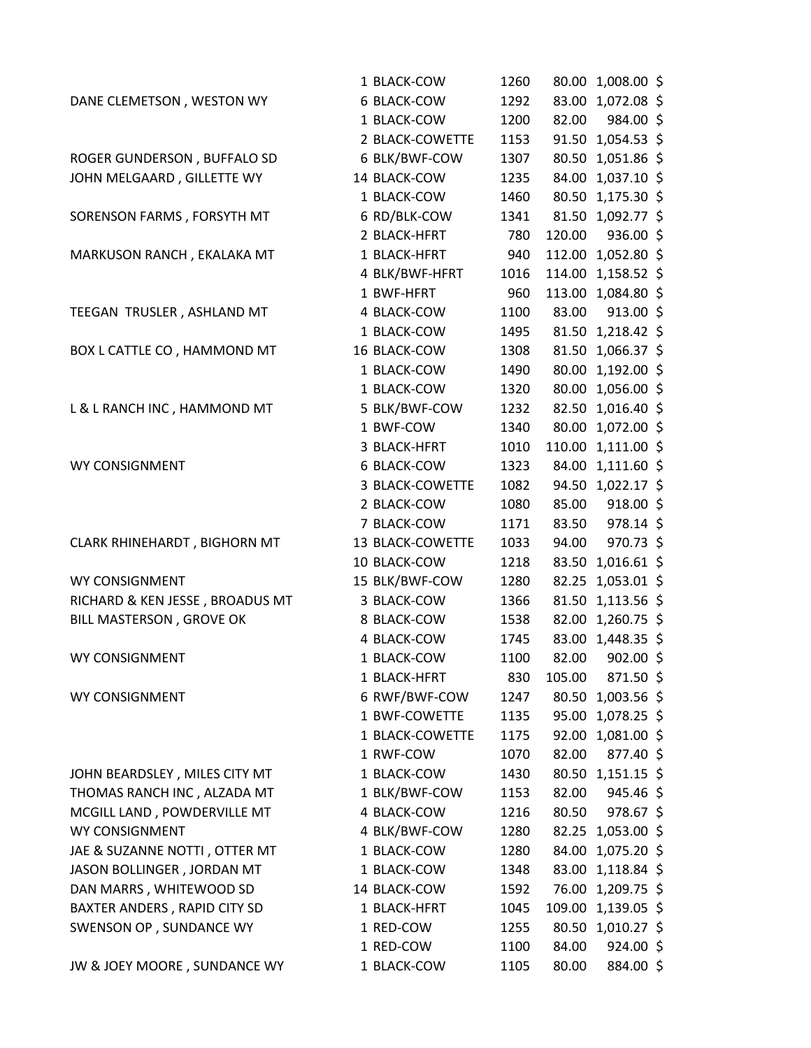|                                 | 1 BLACK-COW      | 1260 |        | 80.00 1,008.00 \$  |  |
|---------------------------------|------------------|------|--------|--------------------|--|
| DANE CLEMETSON, WESTON WY       | 6 BLACK-COW      | 1292 |        | 83.00 1,072.08 \$  |  |
|                                 | 1 BLACK-COW      | 1200 | 82.00  | 984.00 \$          |  |
|                                 | 2 BLACK-COWETTE  | 1153 |        | 91.50 1,054.53 \$  |  |
| ROGER GUNDERSON, BUFFALO SD     | 6 BLK/BWF-COW    | 1307 |        | 80.50 1,051.86 \$  |  |
| JOHN MELGAARD, GILLETTE WY      | 14 BLACK-COW     | 1235 |        | 84.00 1,037.10 \$  |  |
|                                 | 1 BLACK-COW      | 1460 |        | 80.50 1,175.30 \$  |  |
| SORENSON FARMS, FORSYTH MT      | 6 RD/BLK-COW     | 1341 |        | 81.50 1,092.77 \$  |  |
|                                 | 2 BLACK-HFRT     | 780  | 120.00 | 936.00 \$          |  |
| MARKUSON RANCH, EKALAKA MT      | 1 BLACK-HFRT     | 940  |        | 112.00 1,052.80 \$ |  |
|                                 | 4 BLK/BWF-HFRT   | 1016 |        | 114.00 1,158.52 \$ |  |
|                                 | 1 BWF-HFRT       | 960  |        | 113.00 1,084.80 \$ |  |
| TEEGAN TRUSLER, ASHLAND MT      | 4 BLACK-COW      | 1100 |        | 83.00 913.00 \$    |  |
|                                 | 1 BLACK-COW      | 1495 |        | 81.50 1,218.42 \$  |  |
| BOX L CATTLE CO, HAMMOND MT     | 16 BLACK-COW     | 1308 |        | 81.50 1,066.37 \$  |  |
|                                 | 1 BLACK-COW      | 1490 |        | 80.00 1,192.00 \$  |  |
|                                 | 1 BLACK-COW      | 1320 |        | 80.00 1,056.00 \$  |  |
| L & L RANCH INC, HAMMOND MT     | 5 BLK/BWF-COW    | 1232 |        | 82.50 1,016.40 \$  |  |
|                                 | 1 BWF-COW        | 1340 |        | 80.00 1,072.00 \$  |  |
|                                 | 3 BLACK-HFRT     | 1010 |        | 110.00 1,111.00 \$ |  |
| WY CONSIGNMENT                  | 6 BLACK-COW      | 1323 |        | 84.00 1,111.60 \$  |  |
|                                 | 3 BLACK-COWETTE  | 1082 |        | 94.50 1,022.17 \$  |  |
|                                 | 2 BLACK-COW      | 1080 |        | 85.00 918.00 \$    |  |
|                                 | 7 BLACK-COW      | 1171 | 83.50  | 978.14 \$          |  |
| CLARK RHINEHARDT, BIGHORN MT    | 13 BLACK-COWETTE | 1033 | 94.00  | 970.73 \$          |  |
|                                 | 10 BLACK-COW     | 1218 |        | 83.50 1,016.61 \$  |  |
| WY CONSIGNMENT                  | 15 BLK/BWF-COW   | 1280 |        | 82.25 1,053.01 \$  |  |
| RICHARD & KEN JESSE, BROADUS MT | 3 BLACK-COW      | 1366 |        | 81.50 1,113.56 \$  |  |
| BILL MASTERSON, GROVE OK        | 8 BLACK-COW      | 1538 |        | 82.00 1,260.75 \$  |  |
|                                 | 4 BLACK-COW      | 1745 |        | 83.00 1,448.35 \$  |  |
| WY CONSIGNMENT                  | 1 BLACK-COW      | 1100 | 82.00  | 902.00 \$          |  |
|                                 | 1 BLACK-HFRT     | 830  | 105.00 | 871.50 \$          |  |
| WY CONSIGNMENT                  | 6 RWF/BWF-COW    | 1247 |        | 80.50 1,003.56 \$  |  |
|                                 | 1 BWF-COWETTE    | 1135 |        | 95.00 1,078.25 \$  |  |
|                                 | 1 BLACK-COWETTE  | 1175 |        | 92.00 1,081.00 \$  |  |
|                                 | 1 RWF-COW        | 1070 | 82.00  | 877.40 \$          |  |
| JOHN BEARDSLEY, MILES CITY MT   | 1 BLACK-COW      | 1430 |        | 80.50 1,151.15 \$  |  |
| THOMAS RANCH INC, ALZADA MT     | 1 BLK/BWF-COW    | 1153 | 82.00  | $945.46$ \$        |  |
| MCGILL LAND, POWDERVILLE MT     | 4 BLACK-COW      | 1216 | 80.50  | 978.67 \$          |  |
| WY CONSIGNMENT                  | 4 BLK/BWF-COW    | 1280 |        | 82.25 1,053.00 \$  |  |
| JAE & SUZANNE NOTTI, OTTER MT   | 1 BLACK-COW      | 1280 |        | 84.00 1,075.20 \$  |  |
| JASON BOLLINGER, JORDAN MT      | 1 BLACK-COW      | 1348 |        | 83.00 1,118.84 \$  |  |
| DAN MARRS, WHITEWOOD SD         | 14 BLACK-COW     | 1592 |        | 76.00 1,209.75 \$  |  |
| BAXTER ANDERS, RAPID CITY SD    | 1 BLACK-HFRT     | 1045 |        | 109.00 1,139.05 \$ |  |
| SWENSON OP, SUNDANCE WY         | 1 RED-COW        | 1255 |        | 80.50 1,010.27 \$  |  |
|                                 | 1 RED-COW        | 1100 | 84.00  | $924.00$ \$        |  |
| JW & JOEY MOORE, SUNDANCE WY    | 1 BLACK-COW      | 1105 | 80.00  | 884.00 \$          |  |